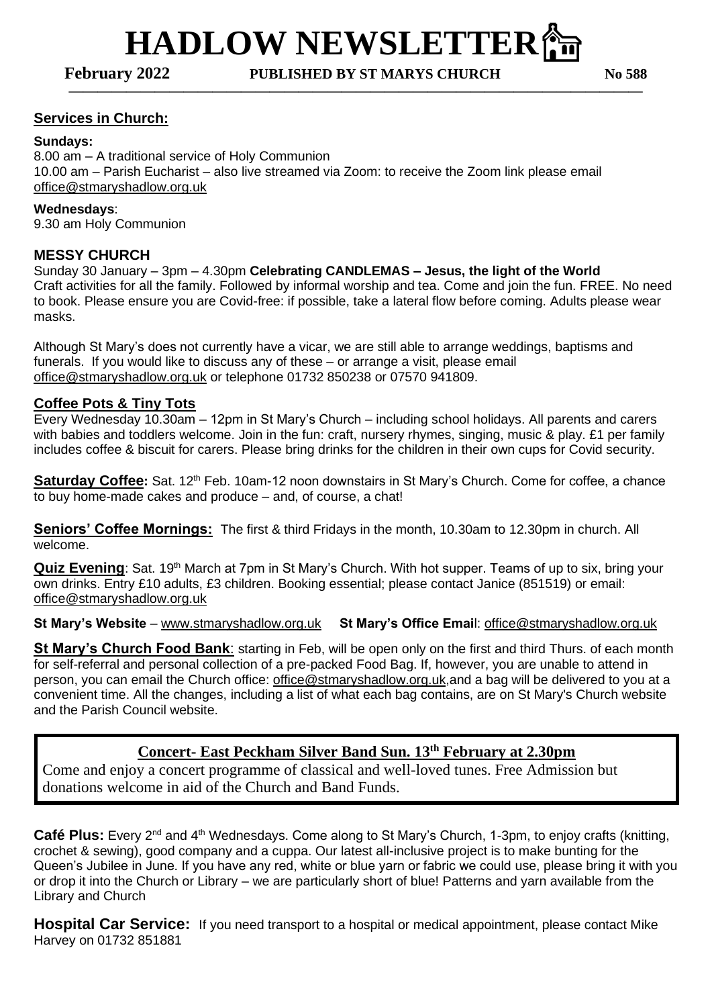**HADLOW NEWSLETTER偷 February 2022 PUBLISHED BY ST MARYS CHURCH No 588**

**————————————————————————————————————————**

### **Services in Church:**

#### **Sundays:**

8.00 am – A traditional service of Holy Communion 10.00 am – Parish Eucharist – also live streamed via Zoom: to receive the Zoom link please email [office@stmaryshadlow.org.uk](mailto:office@stmaryshadlow.org.uk)

#### **Wednesdays**:

9.30 am Holy Communion

#### **MESSY CHURCH**

Sunday 30 January – 3pm – 4.30pm **Celebrating CANDLEMAS – Jesus, the light of the World** Craft activities for all the family. Followed by informal worship and tea. Come and join the fun. FREE. No need to book. Please ensure you are Covid-free: if possible, take a lateral flow before coming. Adults please wear masks.

Although St Mary's does not currently have a vicar, we are still able to arrange weddings, baptisms and funerals. If you would like to discuss any of these – or arrange a visit, please email [office@stmaryshadlow.org.uk](mailto:office@stmaryshadlow.org.uk) or telephone 01732 850238 or 07570 941809.

#### **Coffee Pots & Tiny Tots**

Every Wednesday 10.30am – 12pm in St Mary's Church – including school holidays. All parents and carers with babies and toddlers welcome. Join in the fun: craft, nursery rhymes, singing, music & play. £1 per family includes coffee & biscuit for carers. Please bring drinks for the children in their own cups for Covid security.

**Saturday Coffee:** Sat. 12<sup>th</sup> Feb. 10am-12 noon downstairs in St Mary's Church. Come for coffee, a chance to buy home-made cakes and produce – and, of course, a chat!

**Seniors' Coffee Mornings:** The first & third Fridays in the month, 10.30am to 12.30pm in church. All welcome.

Quiz Evening: Sat. 19<sup>th</sup> March at 7pm in St Mary's Church. With hot supper. Teams of up to six, bring your own drinks. Entry £10 adults, £3 children. Booking essential; please contact Janice (851519) or email: [office@stmaryshadlow.org.uk](mailto:office@stmaryshadlow.org.uk)

**St Mary's Website** – [www.stmaryshadlow.org.uk](http://www.stmaryshadlow.org.uk/) **St Mary's Office Emai**l: [office@stmaryshadlow.org.uk](mailto:office@stmaryshadlow.org.uk)

**St Mary's Church Food Bank**: starting in Feb, will be open only on the first and third Thurs. of each month for self-referral and personal collection of a pre-packed Food Bag. If, however, you are unable to attend in person, you can email the Church office: [office@stmaryshadlow.org.uk,](mailto:office@stmaryshadlow.org.uk)and a bag will be delivered to you at a convenient time. All the changes, including a list of what each bag contains, are on St Mary's Church website and the Parish Council website.

## **Concert- East Peckham Silver Band Sun. 13th February at 2.30pm**

Come and enjoy a concert programme of classical and well-loved tunes. Free Admission but donations welcome in aid of the Church and Band Funds.

**Café Plus:** Every 2<sup>nd</sup> and 4<sup>th</sup> Wednesdays. Come along to St Mary's Church, 1-3pm, to enjoy crafts (knitting, crochet & sewing), good company and a cuppa. Our latest all-inclusive project is to make bunting for the Queen's Jubilee in June. If you have any red, white or blue yarn or fabric we could use, please bring it with you or drop it into the Church or Library – we are particularly short of blue! Patterns and yarn available from the Library and Church

**Hospital Car Service:** If you need transport to a hospital or medical appointment, please contact Mike Harvey on 01732 851881